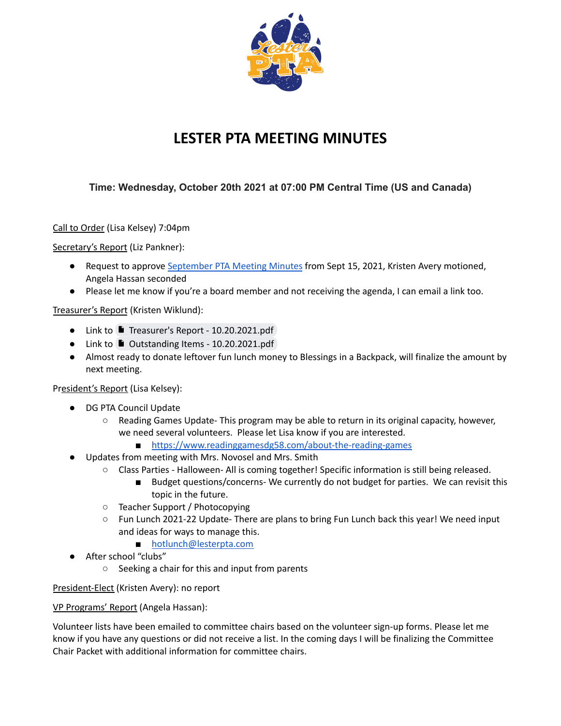

## **LESTER PTA MEETING MINUTES**

## **Time: Wednesday, October 20th 2021 at 07:00 PM Central Time (US and Canada)**

Call to Order (Lisa Kelsey) 7:04pm

Secretary's Report (Liz Pankner):

- Request to approve [September](https://docs.google.com/document/u/2/d/1vgjbdhic0cg1rkN3vk17j8CvRyeFUNmrbmlXDMrZ1V0/edit) PTA Meeting Minutes from Sept 15, 2021, Kristen Avery motioned, Angela Hassan seconded
- Please let me know if you're a board member and not receiving the agenda, I can email a link too.

Treasurer's Report (Kristen Wiklund):

- Link to Treasurer's Report [10.20.2021.pdf](https://drive.google.com/file/d/1jnkuP9EsoSiK445meCIsDzs99z4JT1dm/view?usp=sharing)
- Link to Outstanding Items [10.20.2021.pdf](https://drive.google.com/file/d/1P1o46TEFpyaFicGLga-viuwVDEJyK7BR/view?usp=sharing)
- Almost ready to donate leftover fun lunch money to Blessings in a Backpack, will finalize the amount by next meeting.

President's Report (Lisa Kelsey):

- DG PTA Council Update
	- $\circ$  Reading Games Update-This program may be able to return in its original capacity, however, we need several volunteers. Please let Lisa know if you are interested.
		- <https://www.readinggamesdg58.com/about-the-reading-games>
- Updates from meeting with Mrs. Novosel and Mrs. Smith
	- Class Parties Halloween- All is coming together! Specific information is still being released.
		- Budget questions/concerns- We currently do not budget for parties. We can revisit this topic in the future.
	- Teacher Support / Photocopying
	- Fun Lunch 2021-22 Update- There are plans to bring Fun Lunch back this year! We need input and ideas for ways to manage this.
		- [hotlunch@lesterpta.com](mailto:hotlunch@lesterpta.com)
- After school "clubs"
	- Seeking a chair for this and input from parents

President-Elect (Kristen Avery): no report

VP Programs' Report (Angela Hassan):

Volunteer lists have been emailed to committee chairs based on the volunteer sign-up forms. Please let me know if you have any questions or did not receive a list. In the coming days I will be finalizing the Committee Chair Packet with additional information for committee chairs.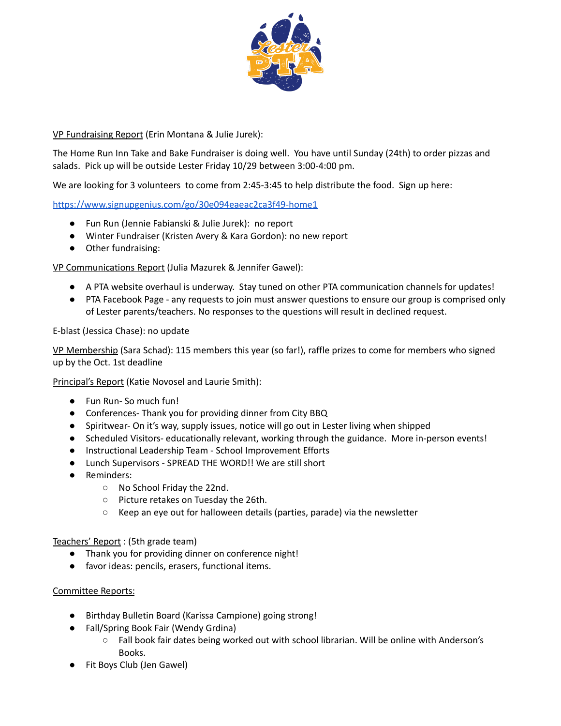

## VP Fundraising Report (Erin Montana & Julie Jurek):

The Home Run Inn Take and Bake Fundraiser is doing well. You have until Sunday (24th) to order pizzas and salads. Pick up will be outside Lester Friday 10/29 between 3:00-4:00 pm.

We are looking for 3 volunteers to come from 2:45-3:45 to help distribute the food. Sign up here:

<https://www.signupgenius.com/go/30e094eaeac2ca3f49-home1>

- Fun Run (Jennie Fabianski & Julie Jurek): no report
- Winter Fundraiser (Kristen Avery & Kara Gordon): no new report
- Other fundraising:

VP Communications Report (Julia Mazurek & Jennifer Gawel):

- A PTA website overhaul is underway. Stay tuned on other PTA communication channels for updates!
- PTA Facebook Page any requests to join must answer questions to ensure our group is comprised only of Lester parents/teachers. No responses to the questions will result in declined request.

E-blast (Jessica Chase): no update

VP Membership (Sara Schad): 115 members this year (so far!), raffle prizes to come for members who signed up by the Oct. 1st deadline

Principal's Report (Katie Novosel and Laurie Smith):

- Fun Run-So much fun!
- Conferences- Thank you for providing dinner from City BBQ
- Spiritwear- On it's way, supply issues, notice will go out in Lester living when shipped
- Scheduled Visitors- educationally relevant, working through the guidance. More in-person events!
- Instructional Leadership Team School Improvement Efforts
- Lunch Supervisors SPREAD THE WORD!! We are still short
- Reminders:
	- No School Friday the 22nd.
	- Picture retakes on Tuesday the 26th.
	- Keep an eye out for halloween details (parties, parade) via the newsletter

Teachers' Report : (5th grade team)

- Thank you for providing dinner on conference night!
- favor ideas: pencils, erasers, functional items.

## Committee Reports:

- Birthday Bulletin Board (Karissa Campione) going strong!
- Fall/Spring Book Fair (Wendy Grdina)
	- Fall book fair dates being worked out with school librarian. Will be online with Anderson's Books.
- Fit Boys Club (Jen Gawel)